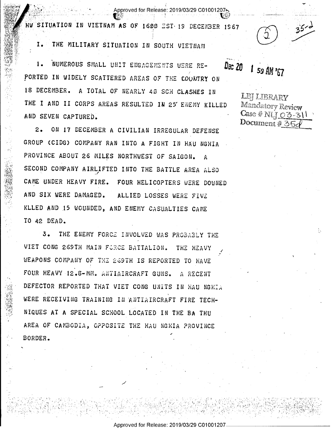HW SITUATION IN VIETNAM AS OF 1600 EST 19 DECENBER 1967

Approved for Release: 2019/03/29 C01001207,

THE MILITARY SITUATION IN SOUTH VIETNAM 1.

NUMEROUS SMALL UNIT ENGAGEMENTS WERE RE-1. PORTED IN WIDELY SCATTERED AREAS OF THE COUNTRY ON 18 DECEMBER. A TOTAL OF NEARLY 40 SCH CLASHES IN THE I AND II CORPS AREAS RESULTED IN 25 ENEMY KILLED AND SEVEN CAPTURED.

ON 17 DECEMBER A CIVILIAN IRREGULAR DEFENSE  $2.$ GROUP (CIDG) COMPANY RAN INTO A FIGHT IN HAU NGHIA PROVINCE ABOUT 26 MILES NORTHWEST OF SAIGON. A SECOND COMPANY AIRLIFTED INTO THE BATTLE AREA ALSO CAME UNDER HEAVY FIRE. FOUR HELICOPTERS WERE DOWNED AND SIX WERE DAMAGED. ALLIED LOSSES WERE FIVE KLLED AND 15 WOUNDED, AND ENEMY CASUALTIES CAME TO 42 DEAD.

THE ENEMY FORCE INVOLVED WAS PROBABLY THE  $3 -$ VIET CONG 269TH MAIN FORCE BATTALION. THE HEAVY WEAPONS COMPANY OF THE 269TH IS REPORTED TO HAVE FOUR HEAVY 12.8-MM. ANTIAIRCRAFT GUNS. A RECENT DEFECTOR REPORTED THAT VIET CONG UNITS IN HAU NGHIA WERE RECEIVING TRAINING IN ANTIAIRCRAFT FIRE TECH-NIQUES AT A SPECIAL SCHOOL LOCATED IN THE BA THU AREA OF CAMBODIA, OPPOSITE THE HAU NGHIA PROVINCE BORDER.

Dec 20 1 59 AM '67

LEI LIBRARY Mandatory Review  $Case # NLI_03-311$ Document #  $35c$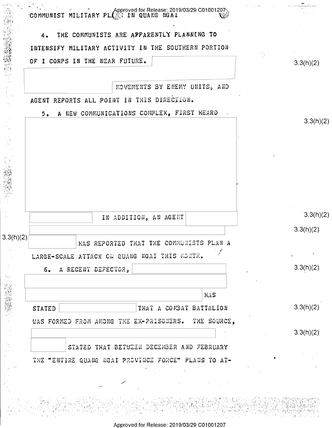|                     | COMMUNIST MILITARY PLOSE IN QUANG NGAI              |           |
|---------------------|-----------------------------------------------------|-----------|
|                     | THE COMMUNISTS ARE APPARENTLY PLANNING TO<br>4.     |           |
|                     | INTENSIFY MILITARY ACTIVITY IN THE SOUTHERN PORTION |           |
|                     | OF I CORPS IN THE NEAR FUTURE.                      | 3.3(h)(2) |
|                     |                                                     |           |
|                     | MOVEMENTS BY ENEMY UNITS, AND                       |           |
|                     | AGENT REPORTS ALL POINT IN THIS DIRECTION.          |           |
|                     | A NEW COMMUNICATIONS COMPLEX, FIRST HEARD<br>5.     |           |
|                     |                                                     | 3.3(h)(2) |
|                     |                                                     |           |
|                     |                                                     |           |
|                     |                                                     |           |
|                     |                                                     |           |
|                     |                                                     |           |
|                     |                                                     |           |
|                     |                                                     | 3.3(h)(2) |
|                     | IN ADDITION, AN AGENT                               |           |
| 3.3(h)(2)           |                                                     | 3.3(h)(2) |
|                     | MAS REPORTED THAT THE COMMUNI                       |           |
|                     | LARGE-SCALE ATTACK ON QUANG NGAI THIS MONTH.        |           |
|                     | A RECENT DEFECTOR,<br>6.                            | 3.3(h)(2) |
|                     |                                                     |           |
|                     | <b>HAS</b>                                          |           |
| 2、 不能的 医心理学 化二甲基苯甲基 | THAT A COMBAT BATTALION<br><b>STATED</b>            | 3.3(h)(2) |
|                     | WAS FORMED FROM AMONG THE EX-PRISONERS. THE SOURCE, |           |
|                     |                                                     | 3.3(h)(2) |
|                     | STATED THAT BETWEEN DECEMBER AND FEBRUARY           |           |
|                     |                                                     |           |
|                     | THE "ENTIRE QUANG NGAI PROVINCE FORCE" PLANS TO AT- |           |
|                     |                                                     |           |
|                     |                                                     |           |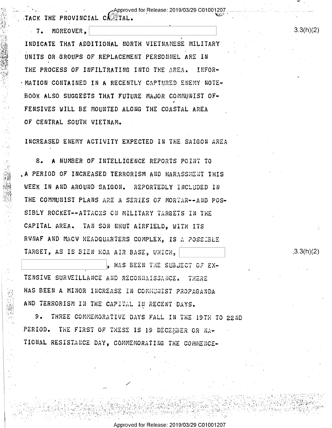. Approved for Release: 2019/03/29 C01001207,

ACK THE PROVINCIAL CASTAL.

7. MOREOVER.

INDICATE THAT ADDITIONAL NORTH VIETNAMESE MILITARY UNITS OR GROUPS OF REPLACEMENT PERSONNEL ARE IN THE PROCESS OF INFILTRATING INTO THE AREA. INFOR-. MATION CONTAINED IN A RECENTLY CAPTURED ENEMY NOTE-BOOK ALSO SUGGESTS THAT FUTURE MAJOR COMMUNIST OF-FENSIVES WILL BE MOUNTED ALONG THE COASTAL AREA OF CENTRAL SOUTH VIETNAM.

INCREASED ENEMY ACTIVITY EXPECTED IN THE SAIGON AREA

8. A NUMBER OF INTELLIGENCE REPORTS POINT TO . A PERIOD OF INCREASED TERRORISM AND HARASSMENT THIS WEEK IN AND AROUND SAIGON. REPORTEDLY INCLUDED IN THE COMMUNIST PLANS ARE A SERIES OF MORTAR--AND POS-SIBLY ROCKET--ATTACKS ON MILITARY TARGETS IN THE CAPITAL AREA. TAN SON NHUT AIRFIELD, WITH ITS RUNAF AND MACU HEADQUARTERS COMPLEX. IS A POSSIBLE TARGET, AS IS BIEN HOA AIR BASE, WHICH,

, HAS BEEN THE SUBJECT OF EX-TENSIVE SURVEILLANCE AND RECONNAISSANCE. THERE HAS BEEN A MINOR INCREASE IN COMMUNIST PROPAGANDA AND TERRORISM IN THE CAPITAL IN RECENT DAYS.

9. THREE COMMEMORATIVE DAYS FALL IN THE 19TH TO 22ND PERIOD. THE FIRST OF THESE IS 19 DECEMBER OR NA-TIONAL RESISTANCE DAY, COMMEMORATING THE COMMENCE-

 $3.3(h)(2)$ 

 $3.3(h)(2)$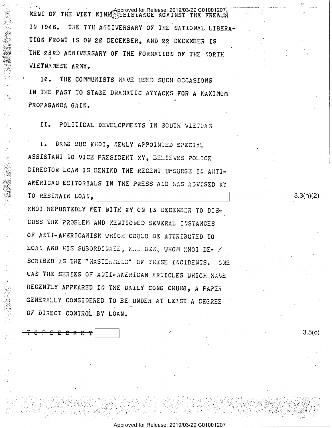MENT OF THE VIET MINH Approved for Release: 2019/03/29 C01001207 IN 1946. THE 7TH ANNIVERSARY OF THE NATIONAL LIBERA-TION FRONT IS ON 20 DECEMBER, AND 22 DECEMBER IS THE 23RD ANNIVERSARY OF THE FORMATION OF THE NORTH VIETNAMESE ARMY.

10. THE COMMUNISTS HAVE USED SUCH OCCASIONS IN THE PAST TO STAGE DRAMATIC ATTACKS FOR A MAXIMUM PROPAGANDA GAIN.

II. POLITICAL DEVELOPMENTS IN SOUTH VIETNAM

 $1.$ DAMS DUC KHOI, NEWLY APPOINTED SPECIAL ASSISTANT TO VICE PRESIDENT XY, BELIEVES POLICE DIRECTOR LOAN IS BEHIND THE RECENT UPSURGE IN ANTI-AMERICAN EDITORIALS IN THE PRESS AND HAS ADVISED KY TO RESTRAIN LOAN. KHOI REPORTEDLY MET WITH KY ON 13 DECEMBER TO DIS-CUSS THE PROBLEM AND MENTIONED SEVERAL INSTANCES OF ANTI-AMERICANISM WHICH COULD BE ATTRIBUTED TO LOAN AND HIS SUBORDINATE, MAI DEN, WHOM KHOI DE- / SCRIBED AS THE "MASTERMIND" OF THESE INCIDENTS. ONE WAS THE SERIES OF ANTI-AMERICAN ARTICLES WHICH HAVE RECENTLY APPEARED IN THE DAILY CONG CHUNG, A PAPER GENERALLY CONSIDERED TO BE UNDER AT LEAST A DEGREE OF DIRECT CONTROL BY LOAN.

<del>ያ E C R E T</del>

 $3.5(c)$ 

 $3.3(h)(2)$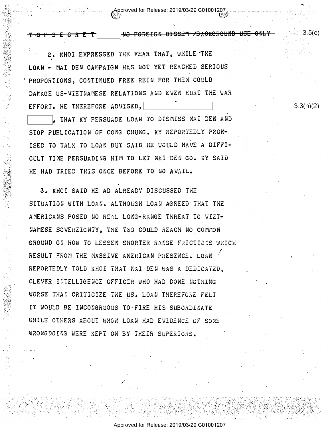Approved for Release: 2019/03/29 C01001207

NO FOREIGN DISSEM / DACKGROUND USE ONLY

2. KHOI EXPRESSED THE FEAR THAT, WHILE THE LOAN - MAI DEN CAMPAIGN HAS NOT YET REACHED SERIOUS PROPORTIONS, CONTINUED FREE REIN FOR THEM COULD DAMAGE US-VIETNAMESE RELATIONS AND EVEN HURT THE WAR EFFORT. HE THEREFORE ADVISED,

<del>7 0 P S E C R E T</del>

, THAT KY PERSUADE LOAN TO DISMISS MAI DEN AND STOP PUBLICATION OF CONG CHUNG. KY REPORTEDLY PROM-ISED TO TALK TO LOAN BUT SAID HE WOULD HAVE A DIFFI-CULT TIME PERSUADING HIM TO LET MAI DEN GO. KY SAID HE HAD TRIED THIS ONCE BEFORE TO NO AVAIL.

3. KHOI SAID HE AD ALREADY DISCUSSED THE SITUATION WITH LOAN. ALTHOUGH LOAN AGREED THAT THE AMERICANS POSED NO REAL LONG-RANGE THREAT TO VIET-NAMESE SOVEREIGNTY, THE TWO COULD REACH NO COMMON GROUND ON HOW TO LESSEN SHORTER RANGE FRICTIONS WHICH RESULT FROM THE MASSIVE AMERICAN PRESENCE. LOAN REPORTEDLY TOLD KHOI THAT MAI DEN WAS A DEDICATED. CLEVER INTELLIGENCE OFFICER WHO HAD DONE NOTHING WORSE THAN CRITICIZE THE US. LOAN THEREFORE FELT IT WOULD BE INCONGRUOUS TO-FIRE HIS SUBORDINATE WHILE OTHERS ABOUT WHOM LOAN HAD EVIDENCE OF SOME WRONGDOING WERE KEPT ON BY THEIR SUPERIORS.

 $3.3(h)(2)$ 

3.5(c)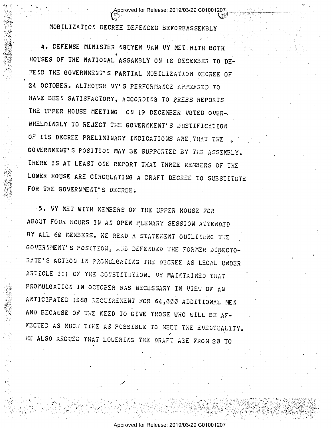## , (Approved for Release: 2019/03/29 C010012\07;., \_\_\_\_4\_\_;>\_'\_>\_\_\_-\_'\_\_,\_\_\_\_\_ \_ ,\_ \_ <sup>I</sup> - I .' =wR -"'\*' \* H», s,' ~'.. aw <sup>~</sup>',  $\sim$  s I  $\sim$  s I  $\sim$  s I  $\sim$  s I  $\sim$  s I  $\sim$  s I  $\sim$  s I  $\sim$  s I  $\sim$  s I  $\sim$  s I  $\sim$  s I  $\sim$  s I  $\sim$  s I  $\sim$  s I  $\sim$  s I  $\sim$  s I  $\sim$  s I  $\sim$  s I  $\sim$  s I  $\sim$  s I  $\sim$  s I  $\sim$  s I  $\sim$  s I  $\sim$  s I  $\sim$

. \ .

an

I

 $\cdot$ 

 $\sim$   $\sim$   $\sim$   $\sim$ 

'. \- ,1.» ~-A <sup>I</sup>

-1 XII -111-111-121 XXII II-XXII XXII-11-11-12 XXII XXII

~\

!\"

MOBILIZATION DECREE DEFENDED BEFOREASSEMBLY

 $\mathbf{r}$ )2 » v. ۶. 7'  $\cdot$  . n) sa an , 5': igi

\$4- '5

' "

. \_ .0

L" r <sup>3</sup>

3' 1':

'1-~'sS1IT flfi

 $\mathbb{Z}^2$ 

 $\lambda$ #1'  $\mathcal{E}^{\mathcal{B}}_{\mathcal{E}}$ E

, .,1  $\frac{\partial \mathcal{D}}{\partial \mathbf{G}}$  $"3"$ -1.  $13.22.5$  $\ddot{\phantom{0}}$ 

.>  $"$  . 0. 1"' '

4. DEFENSE MINISTER NGUYEN VAN VY MET WITH BOTH HOUSES OF THE NATIONAL ASSAMBLY ON 18 DECEMBER TO DE-FEND THE GOVERNMENT'S PARTIAL MOBILIZATION DECREE OF 24 OCTOBER. ALTHOUGH VY'S PERFORMANCE APPEARED TO HAVE BEEN SATISFACTORY, ACCORDING TO ERESS REPORTS THE UPPER HOUSE MEETING ON 19 DECEMBER VOTED OVER-NHELMINGLY TO REJECT THE GOVERNMENT'S JUSTIFICATION OF ITS DECREE PRELIMINARY INDICATIONS ARE THAT THE GOVERNMENT'S POSITION MAY BE SUPPORTED DY THE ASSEMBLY. THERE IS AT LEAST ONE REPORT THAT THREE MEMBERS OF THE LOWER HOUSE ARE CIRCULATING A DRAFT DEGREE TO SUBSTITUTE FOR THE GOVERNMENT'S DECREE.

'5. VY MET WITH MEMBERS OF THE UPPER HOUSE FOR ABOUT FOUR HOURS IN AN OPEN RLENARY SESSION ATTENDED BY ALL 66 MEMBERS. RE READ A STATEMENT OUTLINUNG THE GOVERNMENT'S POSITION, AND DEFENDED THE FORMER DIRECTO-RATE'S ACTION IN PROMULGATING THE DECREE AS LEGAL UNDER ARTICLE 111 OF THE CONSTITUTION. VY MAINTAINED THAT PROMULGATION IN OCTOBER WAS NECESSARY IN VIEW OF AN ANTICIPATED 1968 REQUIREMENT FOR 64,000 ADDITIONAL MEN AND BECAUSE OF THE NEED TO GIVE THOSE WHO WILL BE AF- FECTED AS MUCH TIME AS POSSIBLE TO MEET THE EVENTUALITY. HE ALSO ARGUED THAT LOWERING THE DRAFT AGE FROM 20 TO

/

V HI ',2: , , I, ",\_ , ,,, 3,; \_'

' , \\_, , .\_i,.\_\_.;i;.§;~5.€f9.|,;g. K; p >¢ I, \_; .\% \_,hp/7

' , . . <sup>I</sup>- '- - .- -' . ..

" : " .. In the second second that A second the second will be a second with the second with the second with t

- ;.m~iw%www , 1 :-1+.' J5: T'; -xv 5"' '\ > HKFQMI ;  $\mathcal{L}^{\infty}_{\mathcal{L}}$  in an  $\mathcal{L}^{\infty}_{\mathcal{L}}$  . An arbitrary in an arbitrary independent of  $\mathcal{L}^{\infty}_{\mathcal{L}}$  ,  $\mathcal{L}^{\infty}_{\mathcal{L}}$  ,  $\mathcal{L}^{\infty}_{\mathcal{L}}$  ,  $\mathcal{L}^{\infty}_{\mathcal{L}}$  ,  $\mathcal{L}^{\infty}_{\mathcal{L}}$  ,  $\mathcal{L}^{\infty}_{\mathcal{L}}$ 

, it, if  $\mathcal{G} \subset \mathcal{G}$  ,  $\mathcal{G} \subset \mathcal{G}$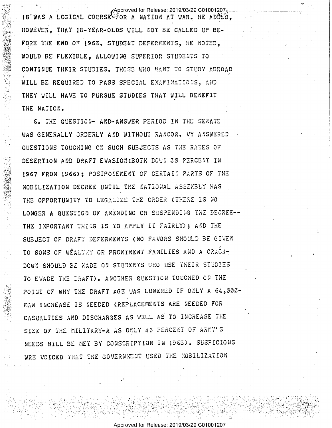$\epsilon$ Approved for Release: 2019/03/29 C01001207 $_{2}$ 18'WAS A LOGICAL COURSE FOR A NATION AT WAR. HE ADDED. HOWEVER. THAT 18-YEAR-OLDS WILL NOT BE CALLED UP BE-FORE THE END OF 1968. STUDENT DEFERMENTS, HE NOTED, WOULD BE FLEXIBLE, ALLOWING SUPERIOR STUDENTS TO CONTINUE THEIR STUDIES. THOSE WHO WANT TO STUDY ABROAD WILL BE REQUIRED TO PASS SPECIAL EXAMINATIONS, AND THEY WILL HAVE TO PURSUE STUDIES THAT WILL BENEFIT THE NATION.

6. THE QUESTION- AND-ANSWER PERIOD IN THE SENATE WAS GENERALLY ORDERLY AND WITHOUT RANCOR. VY ANSWERED QUESTIONS TOUCHING ON SUCH SUBJECTS AS THE RATES OF DESERTION AND DRAFT EVASION(BOTH DOWN 30 PERCENT IN 1967 FROM 1966): POSTPONEMENT OF CERTAIN PARTS OF THE MOBILIZATION DECREE UNTIL THE NATIONAL ASSEMBLY HAS THE OPPORTUNITY TO LEGALIZE THE ORDER (THERE IS NO LONGER A QUESTION OF AMENDING OR SUSPENDING THE DECREE--THE IMPORTANT THING IS TO APPLY IT FAIRLY); AND THE SUBJECT OF DRAFT DEFERMENTS (NO FAVORS SHOULD BE GIVEN TO SONS OF WEALTHY OR PROMINENT FAMILIES AND A CRACK-DOWN SHOULD BE MADE ON STUDENTS WHO USE THEIR STUDIES TO EVADE THE DRAFT). ANOTHER QUESTION TOUCHED ON THE POINT OF WHY THE DRAFT AGE WAS LOWERED IF ONLY A 64.000-MAN INCREASE IS NEEDED (REPLACEMENTS ARE NEEDED FOR CASUALTIES AND DISCHARGES AS WELL AS TO INCREASE THE SIZE OF THE MILITARY-A AS ONLY 40 PERCENT OF ARMY'S NEEDS WILL BE NET BY CONSCRIPTION IN 1968). SUSPICIONS WRE VOICED THAT THE GOVERNMENT USED THE MOBILIZATION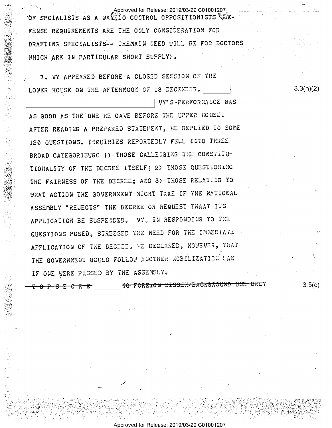Approved for Release: 2019/03/29 C01001207. OF SPCIALISTS AS A WAR CONTROL OPPOSITIONISTS WE-FENSE REQUIREMENTS ARE THE ONLY CONSIDERATION FOR DRAFTING SPECIALISTS-- THEMAIN NEED WILL BE FOR DOCTORS WHICH ARE IN PARTICULAR SHORT SUPPLY).

7. VY APPEARED BEFORE A CLOSED SESSION OF THE LOWER HOUSE ON THE AFTERNOON OF 18 DECENSER.

AS GOOD AS THE ONE HE GAVE BEFORE THE UPPER HOUSE. AFTER READING A PREPARED STATEMENT, HE REPLIED TO SOME 120 QUESTIONS. INQUIRIES REPORTEDLY FELL INTO THREE BROAD CATEGORIEWGC 1) THOSE CALLENGING THE CONSTITU-TIONALITY OF THE DECREE ITSELF; 2) THOSE QUESTIONING THE FAIRNESS OF THE DECREE; AND 3) THOSE RELATING TO WHAT ACTION THE GOVERNMENT MIGHT TAKE IF THE NATIONAL ASSEMBLY "REJECTS" THE DECREE OR REQUEST THAAT ITS APPLICATION BE SUSPENDED. VY, IN RESPONDING TO THE QUESTIONS POSED, STREESED THE NEED FOR THE IMMEDIATE APPLICATION OF THE DECREE. HE DECLARED, HOWEVER, THAT THE GOVERNMENT WOULD FOLLOW ANOTHER MOBILIZATION LAW IF ONE WERE PASSED BY THE ASSEMBLY.

<del>0 P S E C R E</del> |

N<del>O FOREIGN DISSEM/BACKGROUND USE CNLY</del>

VY'S-PERFORMANCE WAS

 $3.5(c)$ 

 $3.3(h)(2)$ 

Approved for Release: 2019/03/29 C01001207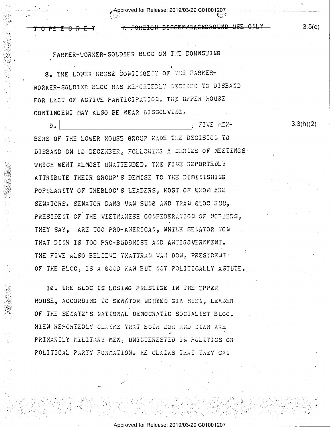Approved for Release: 2019/03/29 C01001207

**NOFOREIGN DISSEM/BACKGROUND USE ONLY** 

<u> ዕፆ\$ ጅ <del>ሮ R Ͼ -</del></u> |

FARMER-WORKER-SOLDIER BLOC ON THE DOWNSWING

8. THE LOWER HOUSE CONTINGENT OF THE FARMER-WORKER-SOLDIER BLOC HAS REPORTEDLY DECIDED TO DISBAND FOR LACT OF ACTIVE PARTICIPATION. THE UPPER HOUSE CONTINGENT MAY ALSO BE NEAR DISSOLVING.

FIVE MIN- $9.$ BERS OF THE LOWER ROUSE GROUP MADE THE DECISION TO DISBAND ON 10 DECEMBER, FOLLOWING A SERIES OF MEETINGS WHICH WENT ALMOST UNATTENDED. THE FIVE REPORTEDLY ATTRIBUTE THEIR GROUP'S DEMISE TO THE DIMINISHING POPULARITY OF THEBLOC'S LEADERS, MOST OF WHOM ARE SENATORS. SENATOR DANG VAN SUNG AND TRAN QUOC BUU, PRESIDENT OF THE VIETNAMESE CONFEDERATION OF WORKERS, THEY SAY. ARE TOO PRO-AMERICAN, WHILE SENATOR TON THAT DINH IS TOO PRC-BUDDHIST AND ANTIGOVERNMENT. THE FIVE ALSO BELIEVE THATTRAN VAN DON, PRESIDENT OF THE BLOC, IS A GOOD MAN BUT NOT POLITICALLY ASTUTE.

10. THE BLOC IS LOSING PRESTIGE IN THE UPPER HOUSE. ACCORDING TO SENATOR NGUYEN GIA HIEN. LEADER OF THE SENATE'S NATIONAL DEMOCRATIC SOCIALIST BLOC. HIEN REPORTEDLY CLAIMS THAT BOTH DON AND DINH ARE PRIMARILY MILITARY MEN, UNINTERESTED IN POLITICS OR POLITICAL PARTY FORMATION. HE CLAIMS THAT THEY CAN

Approved for Release: 2019/03/29 C01001207

 $3.5(c)$ 

 $3.3(h)(2)$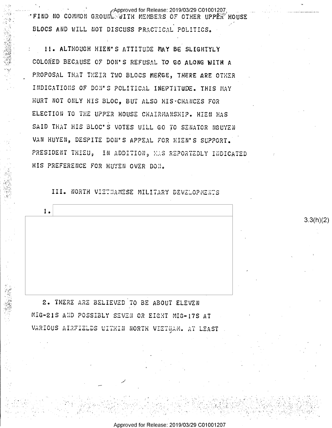Approved for Release: 2019/03/29 C01001207; . FIND NO COMMON GROUNL WITH MEMBERS OF OTHER UPPER HOUSE BLOCS AND WILL NOT DISCUSS PRACTICAL POLITICS.

11. ALTHOUGH HIEN'S ATTITUDE MAY BE SLIGHTYLY COLORED BECAUSE OF DON'S REFUSAL TO GO ALONG WITH A PROPOSAL THAT THEIR TWO BLOCS MERGE, THERE ARE OTHER INDICATIONS OF DON'S POLITICAL INEPTITUDE. THIS MAY HURT NOT ONLY HIS BLOC, BUT ALSO HIS CHANCES FOR ELECTION TO THE UPPER HOUSE CHAIRMANSHIP. HIEN HAS SAID THAT HIS BLOC'S VOTES WILL GO TO SENATOR NGUYEN VAN HUYEN, DESPITE DON'S APPEAL FOR HIEN'S SUPPORT. PRESIDENT THIEU, IN ADDITION, MAS REPORTEDLY INDICATED HIS PREFERENCE FOR HUYEN OVER DON.

III. NORTH VIETNAMESE MILITARY DEVELOPMENTS

 $3.3(h)(2)$ 

 $1.$ 2. THERE ARE BELIEVED TO BE ABOUT ELEVEN MIG-21S AND POSSIBLY SEVEN OR EIGHT MIG-17S AT

VARIOUS AIRFIELDS WITHIN NORTH VIETMAM. AT LEAST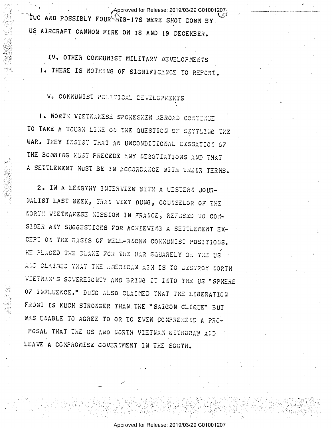Approved for Release: 2019/03/29 C01001207. TWO AND POSSIBLY FOUR FIG-17S WERE SHOT DOWN BY US AIRCRAFT CANNON FIRE ON 18 AND 19 DECEMBER.

IV. OTHER COMMUNIST MILITARY DEVELOPMENTS 1. THERE IS NOTHING OF SIGNIFICANCE TO REPORT.

V. COMMUNIST POLITICAL DEVELOPMENTS

1. NORTH VIETNAMESE SPOKESMEN ABROAD CONTINUE TO TAKE A TOUGH LIGE ON THE QUESTION OF SITTLING THE WAR. THEY INSIST THAT AN UNCONDITIONAL CESSATION OF THE BOMBING MUST PRECEDE ANY NEGOTIATIONS AND THAT A SETTLEMENT MUST BE IN ACCORDANCE WITH THEIR TERMS.

2. IN A LENGTHY INTERVIEW WITH A WISTERN JOUR-NALIST LAST WEEK, TRAN VIET DUNG, COUNSELOR OF THE NORTH VIETNAMESE MISSION IN FRANCE, REFUSED TO CON-SIDER ANY SUGGESTIONS FOR ACHIEVING A SETTLEMENT EX-CEPT ON THE BASIS OF WELL-KNOWN COMMUNIST POSITIONS. HE PLACED THE BLAME FOR THE WAR SQUARELY ON THE US ALD CLAIMED THAT THE AMERICAN AIM IS TO DESTROY NORTH VIETNAM'S SOVEREIGNTY AND BRING IT INTO THE US "SPHERE OF INFLUENCE." DUNG ALSO CLAIMED THAT THE LIBERATION FRONT IS MUCH STRONGER THAN THE "SAIGON CLIQUE" BUT WAS UNABLE TO AGREE TO OR TO EVEN COMPREHEND A PRO-POSAL THAT THE US AND NORTH VIETNAM WITHDRAW AND LEAVE A COMPROMISE GOVERNMENT IN THE SOUTH.